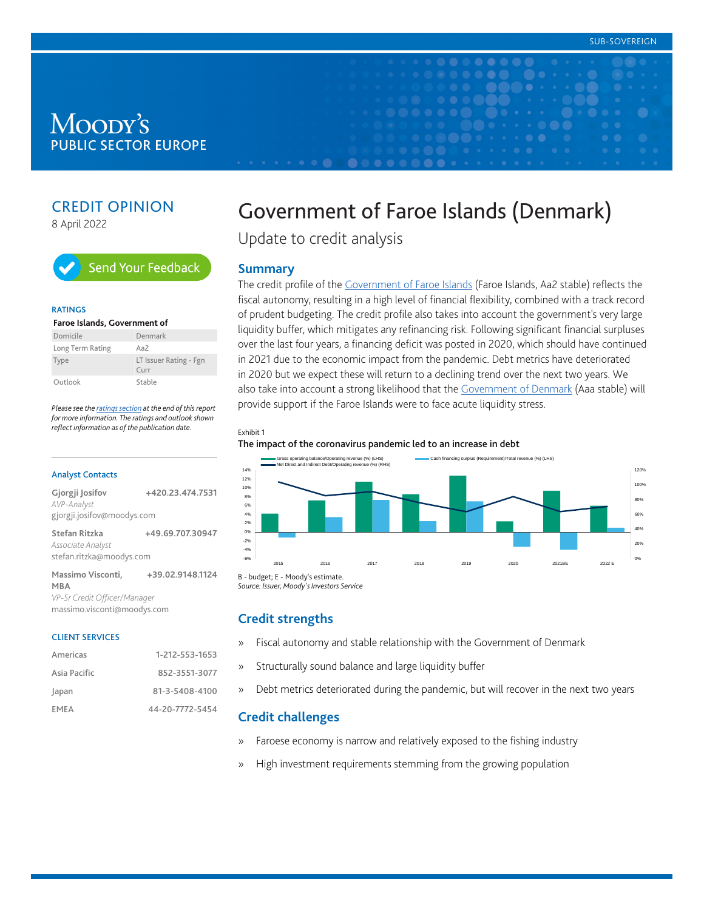# Moody's **PUBLIC SECTOR EUROPE**

# CREDIT OPINION

8 April 2022



#### **RATINGS**

| Faroe Islands, Government of |                                                  |  |  |  |
|------------------------------|--------------------------------------------------|--|--|--|
| Domicile                     | Denmark                                          |  |  |  |
| Long Term Rating             | Aa $\overline{2}$                                |  |  |  |
| Type                         | LT Issuer Rating - Fgn<br>$C$ <sub>III</sub> $r$ |  |  |  |
| Outlook                      | Stable                                           |  |  |  |

*Please see the [ratings section](#page-7-0) at the end of this report for more information. The ratings and outlook shown reflect information as of the publication date.*

#### Analyst Contacts

| Gjorgji Josifov<br>AVP-Analyst                                 | +420.23.474.7531 |
|----------------------------------------------------------------|------------------|
| gjorgji.josifov@moodys.com                                     |                  |
| Stefan Ritzka<br>Associate Analyst<br>stefan.ritzka@moodys.com | +49.69.707.30947 |
| Massimo Visconti,<br><b>MBA</b>                                | +39.02.9148.1124 |

*VP-Sr Credit Officer/Manager* massimo.visconti@moodys.com

#### CLIENT SERVICES

| Americas     | 1-212-553-1653  |
|--------------|-----------------|
| Asia Pacific | 852-3551-3077   |
| Japan        | 81-3-5408-4100  |
| <b>FMFA</b>  | 44-20-7772-5454 |

# Government of Faroe Islands (Denmark)

Update to credit analysis

#### **Summary**

The credit profile of the [Government of Faroe Islands](https://www.moodys.com/credit-ratings/Faroe-Islands-Government-of-credit-rating-820828907) (Faroe Islands, Aa2 stable) reflects the fiscal autonomy, resulting in a high level of financial flexibility, combined with a track record of prudent budgeting. The credit profile also takes into account the government's very large liquidity buffer, which mitigates any refinancing risk. Following significant financial surpluses over the last four years, a financing deficit was posted in 2020, which should have continued in 2021 due to the economic impact from the pandemic. Debt metrics have deteriorated in 2020 but we expect these will return to a declining trend over the next two years. We also take into account a strong likelihood that the [Government of Denmark](https://www.moodys.com/credit-ratings/Denmark-Government-of-credit-rating-230700) (Aaa stable) will provide support if the Faroe Islands were to face acute liquidity stress.

#### Exhibit 1

#### The impact of the coronavirus pandemic led to an increase in debt



*Source: Issuer, Moody's Investors Service*

# **Credit strengths**

- » Fiscal autonomy and stable relationship with the Government of Denmark
- » Structurally sound balance and large liquidity buffer
- » Debt metrics deteriorated during the pandemic, but will recover in the next two years

# **Credit challenges**

- » Faroese economy is narrow and relatively exposed to the fishing industry
- » High investment requirements stemming from the growing population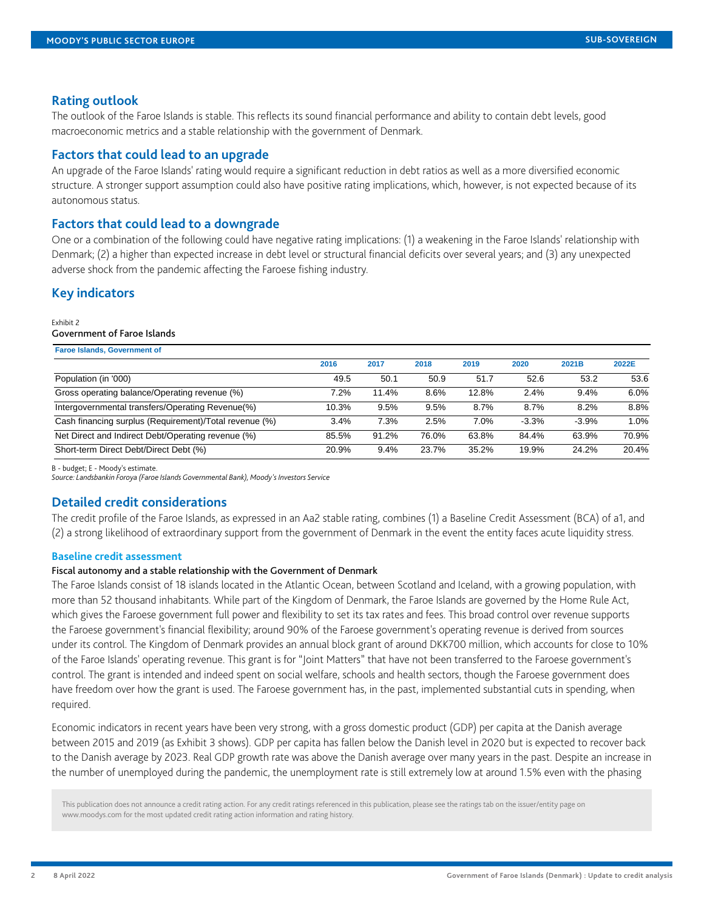# **Rating outlook**

The outlook of the Faroe Islands is stable. This reflects its sound financial performance and ability to contain debt levels, good macroeconomic metrics and a stable relationship with the government of Denmark.

# **Factors that could lead to an upgrade**

An upgrade of the Faroe Islands' rating would require a significant reduction in debt ratios as well as a more diversified economic structure. A stronger support assumption could also have positive rating implications, which, however, is not expected because of its autonomous status.

# **Factors that could lead to a downgrade**

One or a combination of the following could have negative rating implications: (1) a weakening in the Faroe Islands' relationship with Denmark; (2) a higher than expected increase in debt level or structural financial deficits over several years; and (3) any unexpected adverse shock from the pandemic affecting the Faroese fishing industry.

# **Key indicators**

#### Exhibit 2

#### Government of Faroe Islands

| <b>Faroe Islands, Government of</b>                    |       |       |       |       |         |         |       |
|--------------------------------------------------------|-------|-------|-------|-------|---------|---------|-------|
|                                                        | 2016  | 2017  | 2018  | 2019  | 2020    | 2021B   | 2022E |
| Population (in '000)                                   | 49.5  | 50.1  | 50.9  | 51.7  | 52.6    | 53.2    | 53.6  |
| Gross operating balance/Operating revenue (%)          | 7.2%  | 11.4% | 8.6%  | 12.8% | 2.4%    | 9.4%    | 6.0%  |
| Intergovernmental transfers/Operating Revenue(%)       | 10.3% | 9.5%  | 9.5%  | 8.7%  | 8.7%    | 8.2%    | 8.8%  |
| Cash financing surplus (Requirement)/Total revenue (%) | 3.4%  | 7.3%  | 2.5%  | 7.0%  | $-3.3%$ | $-3.9%$ | 1.0%  |
| Net Direct and Indirect Debt/Operating revenue (%)     | 85.5% | 91.2% | 76.0% | 63.8% | 84.4%   | 63.9%   | 70.9% |
| Short-term Direct Debt/Direct Debt (%)                 | 20.9% | 9.4%  | 23.7% | 35.2% | 19.9%   | 24.2%   | 20.4% |

B - budget; E - Moody's estimate.

*Source: Landsbankin Foroya (Faroe Islands Governmental Bank), Moody's Investors Service*

# **Detailed credit considerations**

The credit profile of the Faroe Islands, as expressed in an Aa2 stable rating, combines (1) a Baseline Credit Assessment (BCA) of a1, and (2) a strong likelihood of extraordinary support from the government of Denmark in the event the entity faces acute liquidity stress.

#### **Baseline credit assessment**

#### Fiscal autonomy and a stable relationship with the Government of Denmark

The Faroe Islands consist of 18 islands located in the Atlantic Ocean, between Scotland and Iceland, with a growing population, with more than 52 thousand inhabitants. While part of the Kingdom of Denmark, the Faroe Islands are governed by the Home Rule Act, which gives the Faroese government full power and flexibility to set its tax rates and fees. This broad control over revenue supports the Faroese government's financial flexibility; around 90% of the Faroese government's operating revenue is derived from sources under its control. The Kingdom of Denmark provides an annual block grant of around DKK700 million, which accounts for close to 10% of the Faroe Islands' operating revenue. This grant is for "Joint Matters" that have not been transferred to the Faroese government's control. The grant is intended and indeed spent on social welfare, schools and health sectors, though the Faroese government does have freedom over how the grant is used. The Faroese government has, in the past, implemented substantial cuts in spending, when required.

Economic indicators in recent years have been very strong, with a gross domestic product (GDP) per capita at the Danish average between 2015 and 2019 (as Exhibit 3 shows). GDP per capita has fallen below the Danish level in 2020 but is expected to recover back to the Danish average by 2023. Real GDP growth rate was above the Danish average over many years in the past. Despite an increase in the number of unemployed during the pandemic, the unemployment rate is still extremely low at around 1.5% even with the phasing

This publication does not announce a credit rating action. For any credit ratings referenced in this publication, please see the ratings tab on the issuer/entity page on www.moodys.com for the most updated credit rating action information and rating history.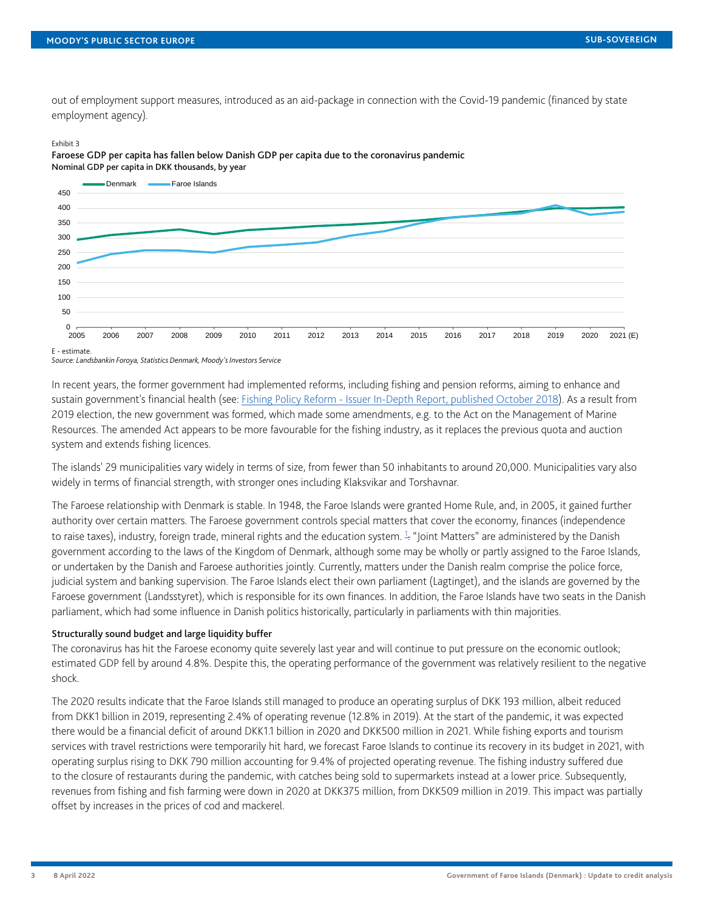out of employment support measures, introduced as an aid-package in connection with the Covid-19 pandemic (financed by state employment agency).

#### Exhibit 3



Faroese GDP per capita has fallen below Danish GDP per capita due to the coronavirus pandemic Nominal GDP per capita in DKK thousands, by year

E - estimate. *Source: Landsbankin Foroya, Statistics Denmark, Moody's Investors Service*

In recent years, the former government had implemented reforms, including fishing and pension reforms, aiming to enhance and sustain government's financial health (see: [Fishing Policy Reform - Issuer In-Depth Report, published October 2018\)](https://www.moodys.com/researchdocumentcontentpage.aspx?docid=PBC_1134626). As a result from 2019 election, the new government was formed, which made some amendments, e.g. to the Act on the Management of Marine Resources. The amended Act appears to be more favourable for the fishing industry, as it replaces the previous quota and auction system and extends fishing licences.

The islands' 29 municipalities vary widely in terms of size, from fewer than 50 inhabitants to around 20,000. Municipalities vary also widely in terms of financial strength, with stronger ones including Klaksvikar and Torshavnar.

<span id="page-2-0"></span>The Faroese relationship with Denmark is stable. In 1948, the Faroe Islands were granted Home Rule, and, in 2005, it gained further authority over certain matters. The Faroese government controls special matters that cover the economy, finances (independence to raise taxes), industry, foreign trade, mineral rights and the education system. <sup>[1](#page-7-1)</sup>. "Joint Matters" are administered by the Danish government according to the laws of the Kingdom of Denmark, although some may be wholly or partly assigned to the Faroe Islands, or undertaken by the Danish and Faroese authorities jointly. Currently, matters under the Danish realm comprise the police force, judicial system and banking supervision. The Faroe Islands elect their own parliament (Lagtinget), and the islands are governed by the Faroese government (Landsstyret), which is responsible for its own finances. In addition, the Faroe Islands have two seats in the Danish parliament, which had some influence in Danish politics historically, particularly in parliaments with thin majorities.

#### Structurally sound budget and large liquidity buffer

The coronavirus has hit the Faroese economy quite severely last year and will continue to put pressure on the economic outlook; estimated GDP fell by around 4.8%. Despite this, the operating performance of the government was relatively resilient to the negative shock.

The 2020 results indicate that the Faroe Islands still managed to produce an operating surplus of DKK 193 million, albeit reduced from DKK1 billion in 2019, representing 2.4% of operating revenue (12.8% in 2019). At the start of the pandemic, it was expected there would be a financial deficit of around DKK1.1 billion in 2020 and DKK500 million in 2021. While fishing exports and tourism services with travel restrictions were temporarily hit hard, we forecast Faroe Islands to continue its recovery in its budget in 2021, with operating surplus rising to DKK 790 million accounting for 9.4% of projected operating revenue. The fishing industry suffered due to the closure of restaurants during the pandemic, with catches being sold to supermarkets instead at a lower price. Subsequently, revenues from fishing and fish farming were down in 2020 at DKK375 million, from DKK509 million in 2019. This impact was partially offset by increases in the prices of cod and mackerel.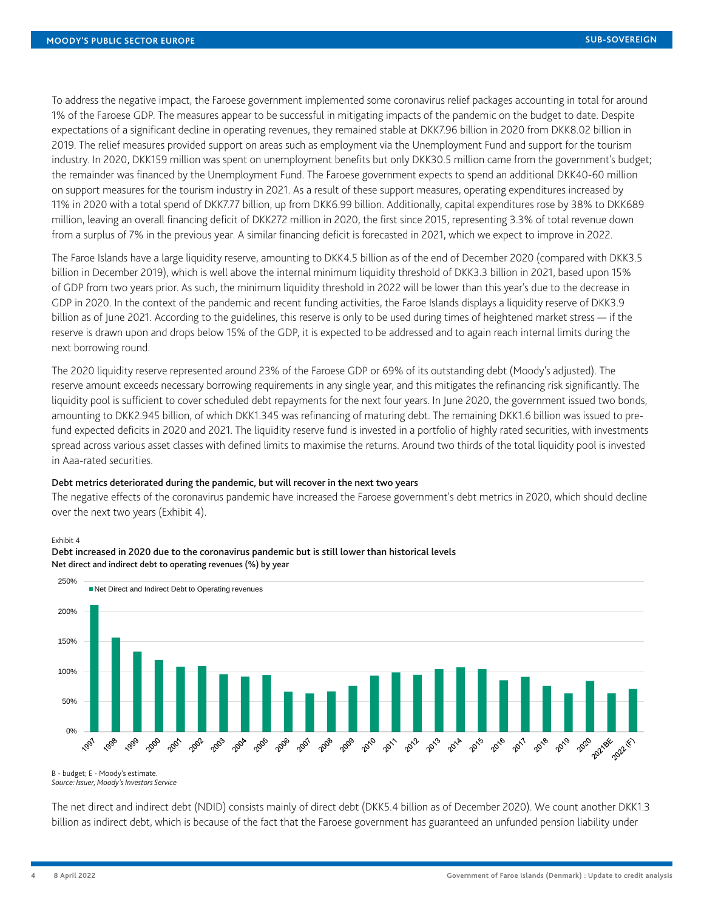To address the negative impact, the Faroese government implemented some coronavirus relief packages accounting in total for around 1% of the Faroese GDP. The measures appear to be successful in mitigating impacts of the pandemic on the budget to date. Despite expectations of a significant decline in operating revenues, they remained stable at DKK7.96 billion in 2020 from DKK8.02 billion in 2019. The relief measures provided support on areas such as employment via the Unemployment Fund and support for the tourism industry. In 2020, DKK159 million was spent on unemployment benefits but only DKK30.5 million came from the government's budget; the remainder was financed by the Unemployment Fund. The Faroese government expects to spend an additional DKK40-60 million on support measures for the tourism industry in 2021. As a result of these support measures, operating expenditures increased by 11% in 2020 with a total spend of DKK7.77 billion, up from DKK6.99 billion. Additionally, capital expenditures rose by 38% to DKK689 million, leaving an overall financing deficit of DKK272 million in 2020, the first since 2015, representing 3.3% of total revenue down from a surplus of 7% in the previous year. A similar financing deficit is forecasted in 2021, which we expect to improve in 2022.

The Faroe Islands have a large liquidity reserve, amounting to DKK4.5 billion as of the end of December 2020 (compared with DKK3.5 billion in December 2019), which is well above the internal minimum liquidity threshold of DKK3.3 billion in 2021, based upon 15% of GDP from two years prior. As such, the minimum liquidity threshold in 2022 will be lower than this year's due to the decrease in GDP in 2020. In the context of the pandemic and recent funding activities, the Faroe Islands displays a liquidity reserve of DKK3.9 billion as of June 2021. According to the guidelines, this reserve is only to be used during times of heightened market stress — if the reserve is drawn upon and drops below 15% of the GDP, it is expected to be addressed and to again reach internal limits during the next borrowing round.

The 2020 liquidity reserve represented around 23% of the Faroese GDP or 69% of its outstanding debt (Moody's adjusted). The reserve amount exceeds necessary borrowing requirements in any single year, and this mitigates the refinancing risk significantly. The liquidity pool is sufficient to cover scheduled debt repayments for the next four years. In June 2020, the government issued two bonds, amounting to DKK2.945 billion, of which DKK1.345 was refinancing of maturing debt. The remaining DKK1.6 billion was issued to prefund expected deficits in 2020 and 2021. The liquidity reserve fund is invested in a portfolio of highly rated securities, with investments spread across various asset classes with defined limits to maximise the returns. Around two thirds of the total liquidity pool is invested in Aaa-rated securities.

#### Debt metrics deteriorated during the pandemic, but will recover in the next two years

The negative effects of the coronavirus pandemic have increased the Faroese government's debt metrics in 2020, which should decline over the next two years (Exhibit 4).

#### Exhibit 4



Debt increased in 2020 due to the coronavirus pandemic but is still lower than historical levels Net direct and indirect debt to operating revenues (%) by year

B - budget; E - Moody's estimate. *Source: Issuer, Moody's Investors Service*

The net direct and indirect debt (NDID) consists mainly of direct debt (DKK5.4 billion as of December 2020). We count another DKK1.3 billion as indirect debt, which is because of the fact that the Faroese government has guaranteed an unfunded pension liability under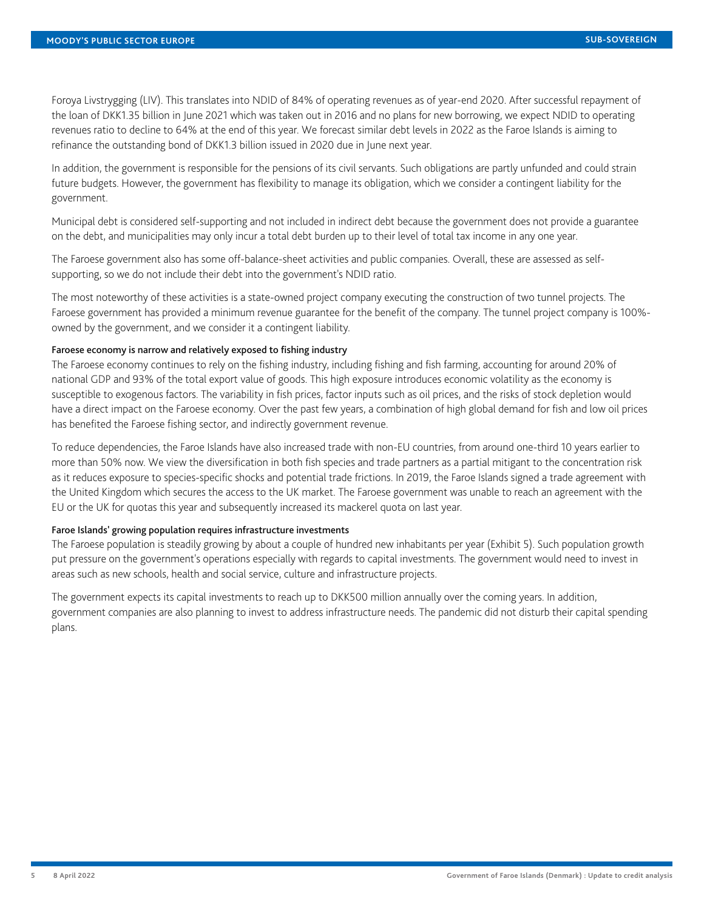Foroya Livstrygging (LIV). This translates into NDID of 84% of operating revenues as of year-end 2020. After successful repayment of the loan of DKK1.35 billion in June 2021 which was taken out in 2016 and no plans for new borrowing, we expect NDID to operating revenues ratio to decline to 64% at the end of this year. We forecast similar debt levels in 2022 as the Faroe Islands is aiming to refinance the outstanding bond of DKK1.3 billion issued in 2020 due in June next year.

In addition, the government is responsible for the pensions of its civil servants. Such obligations are partly unfunded and could strain future budgets. However, the government has flexibility to manage its obligation, which we consider a contingent liability for the government.

Municipal debt is considered self-supporting and not included in indirect debt because the government does not provide a guarantee on the debt, and municipalities may only incur a total debt burden up to their level of total tax income in any one year.

The Faroese government also has some off-balance-sheet activities and public companies. Overall, these are assessed as selfsupporting, so we do not include their debt into the government's NDID ratio.

The most noteworthy of these activities is a state-owned project company executing the construction of two tunnel projects. The Faroese government has provided a minimum revenue guarantee for the benefit of the company. The tunnel project company is 100% owned by the government, and we consider it a contingent liability.

# Faroese economy is narrow and relatively exposed to fishing industry

The Faroese economy continues to rely on the fishing industry, including fishing and fish farming, accounting for around 20% of national GDP and 93% of the total export value of goods. This high exposure introduces economic volatility as the economy is susceptible to exogenous factors. The variability in fish prices, factor inputs such as oil prices, and the risks of stock depletion would have a direct impact on the Faroese economy. Over the past few years, a combination of high global demand for fish and low oil prices has benefited the Faroese fishing sector, and indirectly government revenue.

To reduce dependencies, the Faroe Islands have also increased trade with non-EU countries, from around one-third 10 years earlier to more than 50% now. We view the diversification in both fish species and trade partners as a partial mitigant to the concentration risk as it reduces exposure to species-specific shocks and potential trade frictions. In 2019, the Faroe Islands signed a trade agreement with the United Kingdom which secures the access to the UK market. The Faroese government was unable to reach an agreement with the EU or the UK for quotas this year and subsequently increased its mackerel quota on last year.

## Faroe Islands' growing population requires infrastructure investments

The Faroese population is steadily growing by about a couple of hundred new inhabitants per year (Exhibit 5). Such population growth put pressure on the government's operations especially with regards to capital investments. The government would need to invest in areas such as new schools, health and social service, culture and infrastructure projects.

The government expects its capital investments to reach up to DKK500 million annually over the coming years. In addition, government companies are also planning to invest to address infrastructure needs. The pandemic did not disturb their capital spending plans.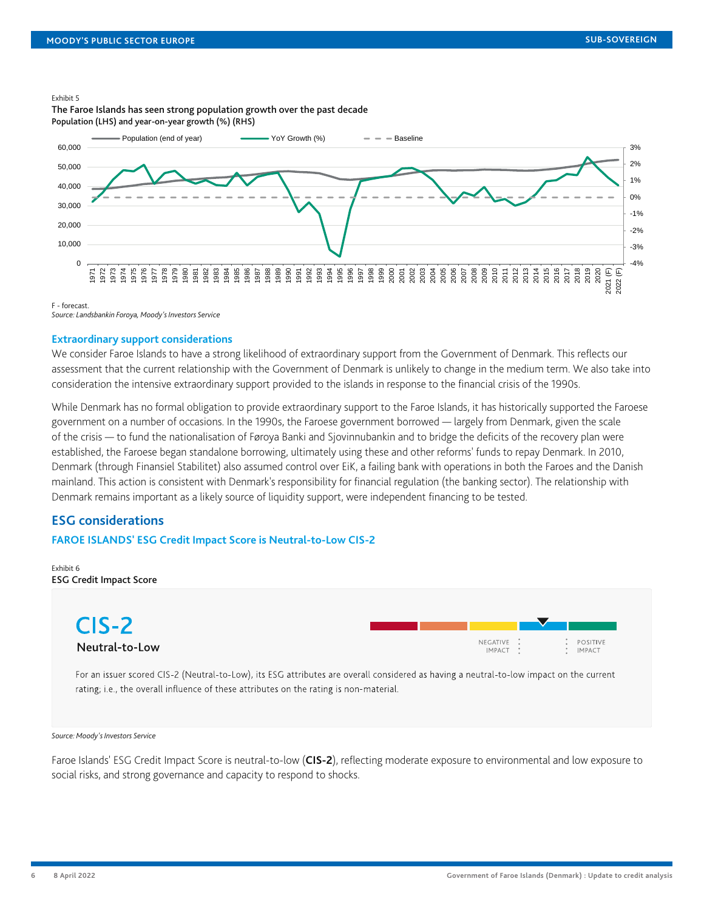#### Exhibit 5



The Faroe Islands has seen strong population growth over the past decade Population (LHS) and year-on-year growth (%) (RHS)

F - forecast.

*Source: Landsbankin Foroya, Moody's Investors Service*

#### **Extraordinary support considerations**

We consider Faroe Islands to have a strong likelihood of extraordinary support from the Government of Denmark. This reflects our assessment that the current relationship with the Government of Denmark is unlikely to change in the medium term. We also take into consideration the intensive extraordinary support provided to the islands in response to the financial crisis of the 1990s.

While Denmark has no formal obligation to provide extraordinary support to the Faroe Islands, it has historically supported the Faroese government on a number of occasions. In the 1990s, the Faroese government borrowed — largely from Denmark, given the scale of the crisis — to fund the nationalisation of Føroya Banki and Sjovinnubankin and to bridge the deficits of the recovery plan were established, the Faroese began standalone borrowing, ultimately using these and other reforms' funds to repay Denmark. In 2010, Denmark (through Finansiel Stabilitet) also assumed control over EiK, a failing bank with operations in both the Faroes and the Danish mainland. This action is consistent with Denmark's responsibility for financial regulation (the banking sector). The relationship with Denmark remains important as a likely source of liquidity support, were independent financing to be tested.

# **ESG considerations**

#### **FAROE ISLANDS' ESG Credit Impact Score is Neutral-to-Low CIS-2**

Exhibit 6 ESG Credit Impact Score



For an issuer scored CIS-2 (Neutral-to-Low), its ESG attributes are overall considered as having a neutral-to-low impact on the current rating; i.e., the overall influence of these attributes on the rating is non-material.

#### *Source: Moody's Investors Service*

Faroe Islands' ESG Credit Impact Score is neutral-to-low (**CIS-2**), reflecting moderate exposure to environmental and low exposure to social risks, and strong governance and capacity to respond to shocks.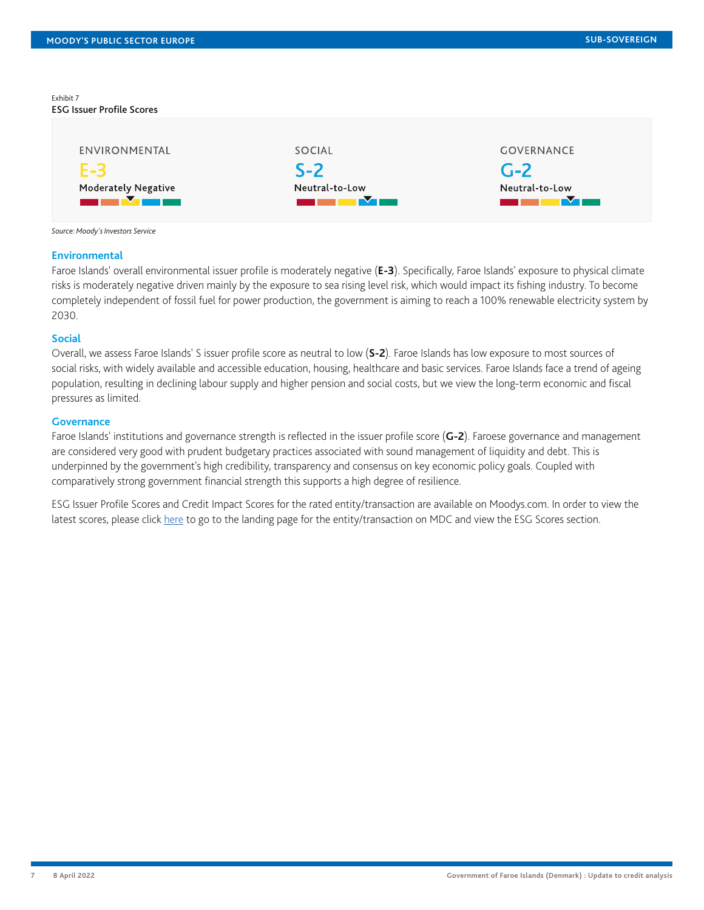Exhibit 7 ESG Issuer Profile Scores

| ENVIRONMENTAL              | SOCIAL         | <b>GOVERNANCE</b> |
|----------------------------|----------------|-------------------|
| $F-3$                      | $S-2$          | $G-2$             |
| <b>Moderately Negative</b> | Neutral-to-Low | Neutral-to-Low    |
|                            |                |                   |

*Source: Moody's Investors Service*

#### **Environmental**

Faroe Islands' overall environmental issuer profile is moderately negative (**E-3**). Specifically, Faroe Islands' exposure to physical climate risks is moderately negative driven mainly by the exposure to sea rising level risk, which would impact its fishing industry. To become completely independent of fossil fuel for power production, the government is aiming to reach a 100% renewable electricity system by 2030.

#### **Social**

Overall, we assess Faroe Islands' S issuer profile score as neutral to low (**S-2**). Faroe Islands has low exposure to most sources of social risks, with widely available and accessible education, housing, healthcare and basic services. Faroe Islands face a trend of ageing population, resulting in declining labour supply and higher pension and social costs, but we view the long-term economic and fiscal pressures as limited.

## **Governance**

Faroe Islands' institutions and governance strength is reflected in the issuer profile score (**G-2**). Faroese governance and management are considered very good with prudent budgetary practices associated with sound management of liquidity and debt. This is underpinned by the government's high credibility, transparency and consensus on key economic policy goals. Coupled with comparatively strong government financial strength this supports a high degree of resilience.

ESG Issuer Profile Scores and Credit Impact Scores for the rated entity/transaction are available on Moodys.com. In order to view the latest scores, please click [here](https://www.moodys.com/credit-ratings/org-credit-rating-820828907) to go to the landing page for the entity/transaction on MDC and view the ESG Scores section.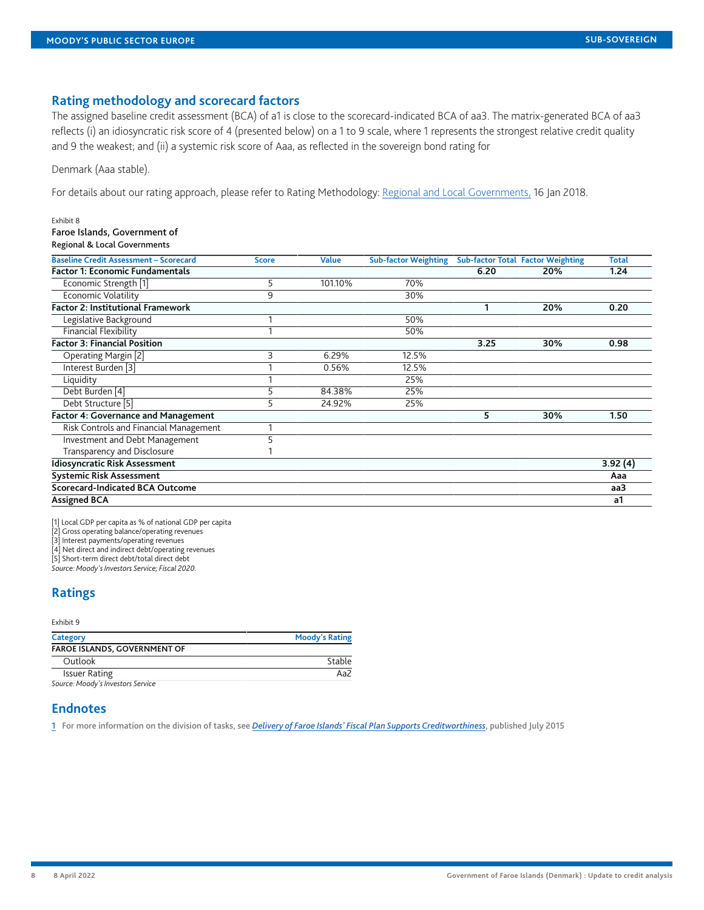# **Rating methodology and scorecard factors**

The assigned baseline credit assessment (BCA) of a1 is close to the scorecard-indicated BCA of aa3. The matrix-generated BCA of aa3 reflects (i) an idiosyncratic risk score of 4 (presented below) on a 1 to 9 scale, where 1 represents the strongest relative credit quality and 9 the weakest; and (ii) a systemic risk score of Aaa, as reflected in the sovereign bond rating for

#### Denmark (Aaa stable).

Exhibit 8

For details about our rating approach, please refer to Rating Methodology: [Regional and Local Governments,](https://www.moodys.com/researchdocumentcontentpage.aspx?docid=PBC_1091595) 16 Jan 2018.

| Faroe Islands, Government of<br>Regional & Local Governments |              |              |                             |      |                                          |              |
|--------------------------------------------------------------|--------------|--------------|-----------------------------|------|------------------------------------------|--------------|
| <b>Baseline Credit Assessment - Scorecard</b>                | <b>Score</b> | <b>Value</b> | <b>Sub-factor Weighting</b> |      | <b>Sub-factor Total Factor Weighting</b> | <b>Total</b> |
| <b>Factor 1: Economic Fundamentals</b>                       |              |              |                             | 6.20 | 20%                                      | 1.24         |
| Economic Strength [1]                                        | 5            | 101.10%      | 70%                         |      |                                          |              |
| Economic Volatility                                          | 9            |              | 30%                         |      |                                          |              |
| <b>Factor 2: Institutional Framework</b>                     |              |              |                             | 1    | 20%                                      | 0.20         |
| Legislative Background                                       |              |              | 50%                         |      |                                          |              |
| <b>Financial Flexibility</b>                                 |              |              | 50%                         |      |                                          |              |
| <b>Factor 3: Financial Position</b>                          |              |              |                             | 3.25 | 30%                                      | 0.98         |
| Operating Margin [2]                                         | 3            | 6.29%        | 12.5%                       |      |                                          |              |
| Interest Burden [3]                                          |              | 0.56%        | 12.5%                       |      |                                          |              |
| Liquidity                                                    |              |              | 25%                         |      |                                          |              |
| Debt Burden [4]                                              | 5            | 84.38%       | 25%                         |      |                                          |              |
| Debt Structure [5]                                           | 5            | 24.92%       | 25%                         |      |                                          |              |
| <b>Factor 4: Governance and Management</b>                   |              |              |                             | 5    | 30%                                      | 1.50         |
| Risk Controls and Financial Management                       |              |              |                             |      |                                          |              |
| Investment and Debt Management                               |              |              |                             |      |                                          |              |
| Transparency and Disclosure                                  |              |              |                             |      |                                          |              |
| <b>Idiosyncratic Risk Assessment</b>                         |              |              |                             |      |                                          | 3.92(4)      |
| <b>Systemic Risk Assessment</b>                              |              |              |                             |      |                                          | Aaa          |
| Scorecard-Indicated BCA Outcome                              |              |              |                             |      |                                          | aa3          |
| <b>Assigned BCA</b>                                          |              |              |                             |      |                                          | a1           |

[1] Local GDP per capita as % of national GDP per capita

[2] Gross operating balance/operating revenues

[3] Interest payments/operating revenues

[4] Net direct and indirect debt/operating revenues

[5] Short-term direct debt/total direct debt

*Source: Moody's Investors Service; Fiscal 2020.*

# <span id="page-7-0"></span>**Ratings**

#### Exhibit 9

| Category                     | <b>Moody's Rating</b> |  |  |  |
|------------------------------|-----------------------|--|--|--|
| FAROE ISLANDS, GOVERNMENT OF |                       |  |  |  |
| Outlook                      | Stable                |  |  |  |
| <b>Issuer Rating</b>         | Aa2                   |  |  |  |
|                              |                       |  |  |  |

*Source: Moody's Investors Service*

# **Endnotes**

<span id="page-7-1"></span>[1](#page-2-0) For more information on the division of tasks, see *[Delivery of Faroe Islands' Fiscal Plan Supports Creditworthiness](https://www.moodys.com/researchdocumentcontentpage.aspx?docid=PBC_1007947)*, published July 2015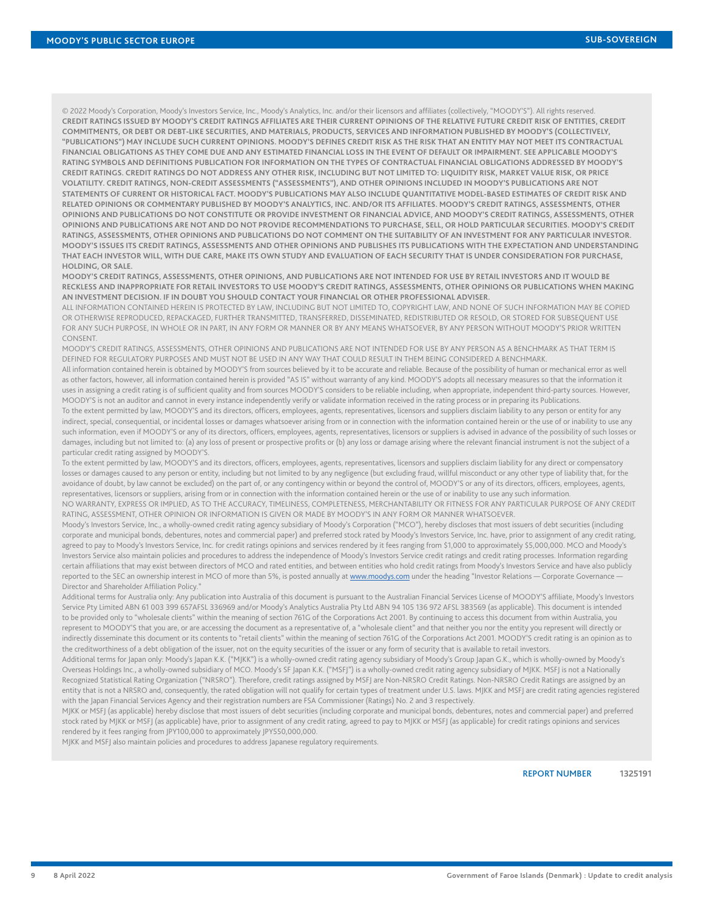© 2022 Moody's Corporation, Moody's Investors Service, Inc., Moody's Analytics, Inc. and/or their licensors and affiliates (collectively, "MOODY'S"). All rights reserved. **CREDIT RATINGS ISSUED BY MOODY'S CREDIT RATINGS AFFILIATES ARE THEIR CURRENT OPINIONS OF THE RELATIVE FUTURE CREDIT RISK OF ENTITIES, CREDIT COMMITMENTS, OR DEBT OR DEBT-LIKE SECURITIES, AND MATERIALS, PRODUCTS, SERVICES AND INFORMATION PUBLISHED BY MOODY'S (COLLECTIVELY, "PUBLICATIONS") MAY INCLUDE SUCH CURRENT OPINIONS. MOODY'S DEFINES CREDIT RISK AS THE RISK THAT AN ENTITY MAY NOT MEET ITS CONTRACTUAL FINANCIAL OBLIGATIONS AS THEY COME DUE AND ANY ESTIMATED FINANCIAL LOSS IN THE EVENT OF DEFAULT OR IMPAIRMENT. SEE APPLICABLE MOODY'S RATING SYMBOLS AND DEFINITIONS PUBLICATION FOR INFORMATION ON THE TYPES OF CONTRACTUAL FINANCIAL OBLIGATIONS ADDRESSED BY MOODY'S CREDIT RATINGS. CREDIT RATINGS DO NOT ADDRESS ANY OTHER RISK, INCLUDING BUT NOT LIMITED TO: LIQUIDITY RISK, MARKET VALUE RISK, OR PRICE VOLATILITY. CREDIT RATINGS, NON-CREDIT ASSESSMENTS ("ASSESSMENTS"), AND OTHER OPINIONS INCLUDED IN MOODY'S PUBLICATIONS ARE NOT STATEMENTS OF CURRENT OR HISTORICAL FACT. MOODY'S PUBLICATIONS MAY ALSO INCLUDE QUANTITATIVE MODEL-BASED ESTIMATES OF CREDIT RISK AND RELATED OPINIONS OR COMMENTARY PUBLISHED BY MOODY'S ANALYTICS, INC. AND/OR ITS AFFILIATES. MOODY'S CREDIT RATINGS, ASSESSMENTS, OTHER OPINIONS AND PUBLICATIONS DO NOT CONSTITUTE OR PROVIDE INVESTMENT OR FINANCIAL ADVICE, AND MOODY'S CREDIT RATINGS, ASSESSMENTS, OTHER OPINIONS AND PUBLICATIONS ARE NOT AND DO NOT PROVIDE RECOMMENDATIONS TO PURCHASE, SELL, OR HOLD PARTICULAR SECURITIES. MOODY'S CREDIT RATINGS, ASSESSMENTS, OTHER OPINIONS AND PUBLICATIONS DO NOT COMMENT ON THE SUITABILITY OF AN INVESTMENT FOR ANY PARTICULAR INVESTOR. MOODY'S ISSUES ITS CREDIT RATINGS, ASSESSMENTS AND OTHER OPINIONS AND PUBLISHES ITS PUBLICATIONS WITH THE EXPECTATION AND UNDERSTANDING THAT EACH INVESTOR WILL, WITH DUE CARE, MAKE ITS OWN STUDY AND EVALUATION OF EACH SECURITY THAT IS UNDER CONSIDERATION FOR PURCHASE, HOLDING, OR SALE.**

**MOODY'S CREDIT RATINGS, ASSESSMENTS, OTHER OPINIONS, AND PUBLICATIONS ARE NOT INTENDED FOR USE BY RETAIL INVESTORS AND IT WOULD BE RECKLESS AND INAPPROPRIATE FOR RETAIL INVESTORS TO USE MOODY'S CREDIT RATINGS, ASSESSMENTS, OTHER OPINIONS OR PUBLICATIONS WHEN MAKING AN INVESTMENT DECISION. IF IN DOUBT YOU SHOULD CONTACT YOUR FINANCIAL OR OTHER PROFESSIONAL ADVISER.**

ALL INFORMATION CONTAINED HEREIN IS PROTECTED BY LAW, INCLUDING BUT NOT LIMITED TO, COPYRIGHT LAW, AND NONE OF SUCH INFORMATION MAY BE COPIED OR OTHERWISE REPRODUCED, REPACKAGED, FURTHER TRANSMITTED, TRANSFERRED, DISSEMINATED, REDISTRIBUTED OR RESOLD, OR STORED FOR SUBSEQUENT USE FOR ANY SUCH PURPOSE, IN WHOLE OR IN PART, IN ANY FORM OR MANNER OR BY ANY MEANS WHATSOEVER, BY ANY PERSON WITHOUT MOODY'S PRIOR WRITTEN CONSENT.

MOODY'S CREDIT RATINGS, ASSESSMENTS, OTHER OPINIONS AND PUBLICATIONS ARE NOT INTENDED FOR USE BY ANY PERSON AS A BENCHMARK AS THAT TERM IS DEFINED FOR REGULATORY PURPOSES AND MUST NOT BE USED IN ANY WAY THAT COULD RESULT IN THEM BEING CONSIDERED A BENCHMARK.

All information contained herein is obtained by MOODY'S from sources believed by it to be accurate and reliable. Because of the possibility of human or mechanical error as well as other factors, however, all information contained herein is provided "AS IS" without warranty of any kind. MOODY'S adopts all necessary measures so that the information it uses in assigning a credit rating is of sufficient quality and from sources MOODY'S considers to be reliable including, when appropriate, independent third-party sources. However, MOODY'S is not an auditor and cannot in every instance independently verify or validate information received in the rating process or in preparing its Publications.

To the extent permitted by law, MOODY'S and its directors, officers, employees, agents, representatives, licensors and suppliers disclaim liability to any person or entity for any indirect, special, consequential, or incidental losses or damages whatsoever arising from or in connection with the information contained herein or the use of or inability to use any such information, even if MOODY'S or any of its directors, officers, employees, agents, representatives, licensors or suppliers is advised in advance of the possibility of such losses or damages, including but not limited to: (a) any loss of present or prospective profits or (b) any loss or damage arising where the relevant financial instrument is not the subject of a particular credit rating assigned by MOODY'S.

To the extent permitted by law, MOODY'S and its directors, officers, employees, agents, representatives, licensors and suppliers disclaim liability for any direct or compensatory losses or damages caused to any person or entity, including but not limited to by any negligence (but excluding fraud, willful misconduct or any other type of liability that, for the avoidance of doubt, by law cannot be excluded) on the part of, or any contingency within or beyond the control of, MOODY'S or any of its directors, officers, employees, agents, representatives, licensors or suppliers, arising from or in connection with the information contained herein or the use of or inability to use any such information.

NO WARRANTY, EXPRESS OR IMPLIED, AS TO THE ACCURACY, TIMELINESS, COMPLETENESS, MERCHANTABILITY OR FITNESS FOR ANY PARTICULAR PURPOSE OF ANY CREDIT RATING, ASSESSMENT, OTHER OPINION OR INFORMATION IS GIVEN OR MADE BY MOODY'S IN ANY FORM OR MANNER WHATSOEVER.

Moody's Investors Service, Inc., a wholly-owned credit rating agency subsidiary of Moody's Corporation ("MCO"), hereby discloses that most issuers of debt securities (including corporate and municipal bonds, debentures, notes and commercial paper) and preferred stock rated by Moody's Investors Service, Inc. have, prior to assignment of any credit rating, agreed to pay to Moody's Investors Service, Inc. for credit ratings opinions and services rendered by it fees ranging from \$1,000 to approximately \$5,000,000. MCO and Moody's Investors Service also maintain policies and procedures to address the independence of Moody's Investors Service credit ratings and credit rating processes. Information regarding certain affiliations that may exist between directors of MCO and rated entities, and between entities who hold credit ratings from Moody's Investors Service and have also publicly reported to the SEC an ownership interest in MCO of more than 5%, is posted annually at [www.moodys.com](https://www.moodys.com/) under the heading "Investor Relations - Corporate Governance -Director and Shareholder Affiliation Policy."

Additional terms for Australia only: Any publication into Australia of this document is pursuant to the Australian Financial Services License of MOODY'S affiliate, Moody's Investors Service Pty Limited ABN 61 003 399 657AFSL 336969 and/or Moody's Analytics Australia Pty Ltd ABN 94 105 136 972 AFSL 383569 (as applicable). This document is intended to be provided only to "wholesale clients" within the meaning of section 761G of the Corporations Act 2001. By continuing to access this document from within Australia, you represent to MOODY'S that you are, or are accessing the document as a representative of, a "wholesale client" and that neither you nor the entity you represent will directly or indirectly disseminate this document or its contents to "retail clients" within the meaning of section 761G of the Corporations Act 2001. MOODY'S credit rating is an opinion as to the creditworthiness of a debt obligation of the issuer, not on the equity securities of the issuer or any form of security that is available to retail investors.

Additional terms for Japan only: Moody's Japan K.K. ("MJKK") is a wholly-owned credit rating agency subsidiary of Moody's Group Japan G.K., which is wholly-owned by Moody's Overseas Holdings Inc., a wholly-owned subsidiary of MCO. Moody's SF Japan K.K. ("MSFJ") is a wholly-owned credit rating agency subsidiary of MJKK. MSFJ is not a Nationally Recognized Statistical Rating Organization ("NRSRO"). Therefore, credit ratings assigned by MSFJ are Non-NRSRO Credit Ratings. Non-NRSRO Credit Ratings are assigned by an entity that is not a NRSRO and, consequently, the rated obligation will not qualify for certain types of treatment under U.S. laws. MJKK and MSFJ are credit rating agencies registered with the Japan Financial Services Agency and their registration numbers are FSA Commissioner (Ratings) No. 2 and 3 respectively.

MJKK or MSFJ (as applicable) hereby disclose that most issuers of debt securities (including corporate and municipal bonds, debentures, notes and commercial paper) and preferred stock rated by MJKK or MSFJ (as applicable) have, prior to assignment of any credit rating, agreed to pay to MJKK or MSFJ (as applicable) for credit ratings opinions and services rendered by it fees ranging from JPY100,000 to approximately JPY550,000,000.

MJKK and MSFJ also maintain policies and procedures to address Japanese regulatory requirements.

REPORT NUMBER **1325191**